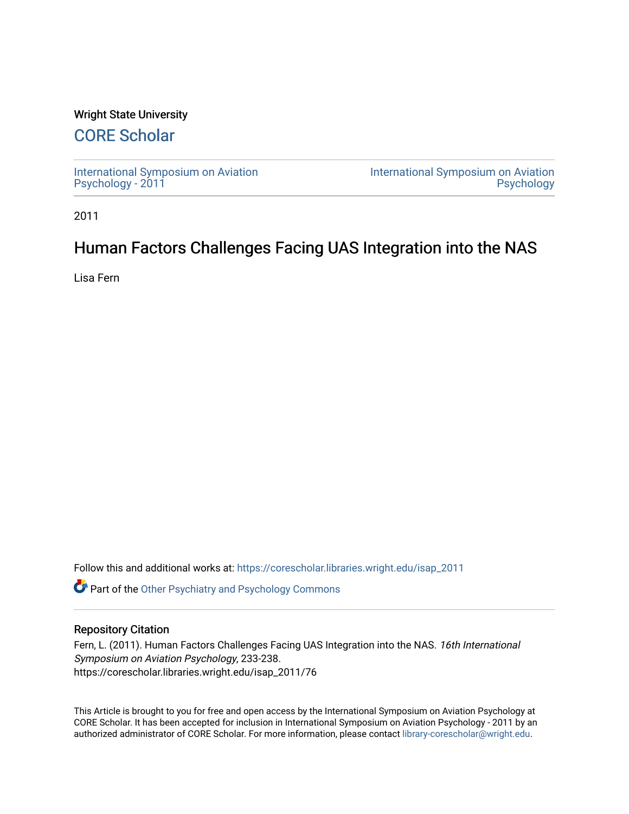## Wright State University

# [CORE Scholar](https://corescholar.libraries.wright.edu/)

[International Symposium on Aviation](https://corescholar.libraries.wright.edu/isap_2011) [Psychology - 2011](https://corescholar.libraries.wright.edu/isap_2011)

[International Symposium on Aviation](https://corescholar.libraries.wright.edu/isap)  [Psychology](https://corescholar.libraries.wright.edu/isap) 

2011

## Human Factors Challenges Facing UAS Integration into the NAS

Lisa Fern

Follow this and additional works at: [https://corescholar.libraries.wright.edu/isap\\_2011](https://corescholar.libraries.wright.edu/isap_2011?utm_source=corescholar.libraries.wright.edu%2Fisap_2011%2F76&utm_medium=PDF&utm_campaign=PDFCoverPages)

**C** Part of the [Other Psychiatry and Psychology Commons](http://network.bepress.com/hgg/discipline/992?utm_source=corescholar.libraries.wright.edu%2Fisap_2011%2F76&utm_medium=PDF&utm_campaign=PDFCoverPages)

### Repository Citation

Fern, L. (2011). Human Factors Challenges Facing UAS Integration into the NAS. 16th International Symposium on Aviation Psychology, 233-238. https://corescholar.libraries.wright.edu/isap\_2011/76

This Article is brought to you for free and open access by the International Symposium on Aviation Psychology at CORE Scholar. It has been accepted for inclusion in International Symposium on Aviation Psychology - 2011 by an authorized administrator of CORE Scholar. For more information, please contact [library-corescholar@wright.edu](mailto:library-corescholar@wright.edu).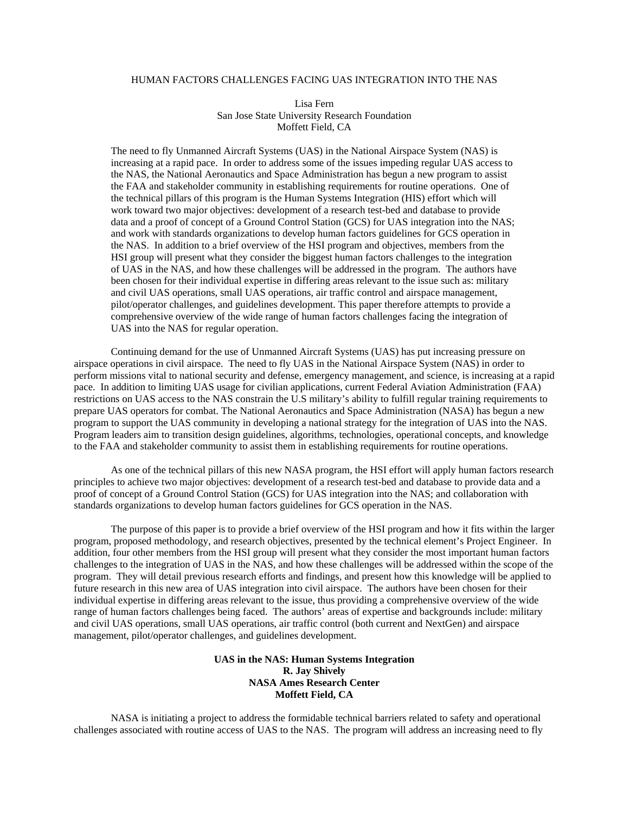#### HUMAN FACTORS CHALLENGES FACING UAS INTEGRATION INTO THE NAS

Lisa Fern San Jose State University Research Foundation Moffett Field, CA

The need to fly Unmanned Aircraft Systems (UAS) in the National Airspace System (NAS) is increasing at a rapid pace. In order to address some of the issues impeding regular UAS access to the NAS, the National Aeronautics and Space Administration has begun a new program to assist the FAA and stakeholder community in establishing requirements for routine operations. One of the technical pillars of this program is the Human Systems Integration (HIS) effort which will work toward two major objectives: development of a research test-bed and database to provide data and a proof of concept of a Ground Control Station (GCS) for UAS integration into the NAS; and work with standards organizations to develop human factors guidelines for GCS operation in the NAS. In addition to a brief overview of the HSI program and objectives, members from the HSI group will present what they consider the biggest human factors challenges to the integration of UAS in the NAS, and how these challenges will be addressed in the program. The authors have been chosen for their individual expertise in differing areas relevant to the issue such as: military and civil UAS operations, small UAS operations, air traffic control and airspace management, pilot/operator challenges, and guidelines development. This paper therefore attempts to provide a comprehensive overview of the wide range of human factors challenges facing the integration of UAS into the NAS for regular operation.

Continuing demand for the use of Unmanned Aircraft Systems (UAS) has put increasing pressure on airspace operations in civil airspace. The need to fly UAS in the National Airspace System (NAS) in order to perform missions vital to national security and defense, emergency management, and science, is increasing at a rapid pace. In addition to limiting UAS usage for civilian applications, current Federal Aviation Administration (FAA) restrictions on UAS access to the NAS constrain the U.S military's ability to fulfill regular training requirements to prepare UAS operators for combat. The National Aeronautics and Space Administration (NASA) has begun a new program to support the UAS community in developing a national strategy for the integration of UAS into the NAS. Program leaders aim to transition design guidelines, algorithms, technologies, operational concepts, and knowledge to the FAA and stakeholder community to assist them in establishing requirements for routine operations.

As one of the technical pillars of this new NASA program, the HSI effort will apply human factors research principles to achieve two major objectives: development of a research test-bed and database to provide data and a proof of concept of a Ground Control Station (GCS) for UAS integration into the NAS; and collaboration with standards organizations to develop human factors guidelines for GCS operation in the NAS.

The purpose of this paper is to provide a brief overview of the HSI program and how it fits within the larger program, proposed methodology, and research objectives, presented by the technical element's Project Engineer. In addition, four other members from the HSI group will present what they consider the most important human factors challenges to the integration of UAS in the NAS, and how these challenges will be addressed within the scope of the program. They will detail previous research efforts and findings, and present how this knowledge will be applied to future research in this new area of UAS integration into civil airspace. The authors have been chosen for their individual expertise in differing areas relevant to the issue, thus providing a comprehensive overview of the wide range of human factors challenges being faced. The authors' areas of expertise and backgrounds include: military and civil UAS operations, small UAS operations, air traffic control (both current and NextGen) and airspace management, pilot/operator challenges, and guidelines development.

#### **UAS in the NAS: Human Systems Integration R. Jay Shively NASA Ames Research Center Moffett Field, CA**

NASA is initiating a project to address the formidable technical barriers related to safety and operational challenges associated with routine access of UAS to the NAS. The program will address an increasing need to fly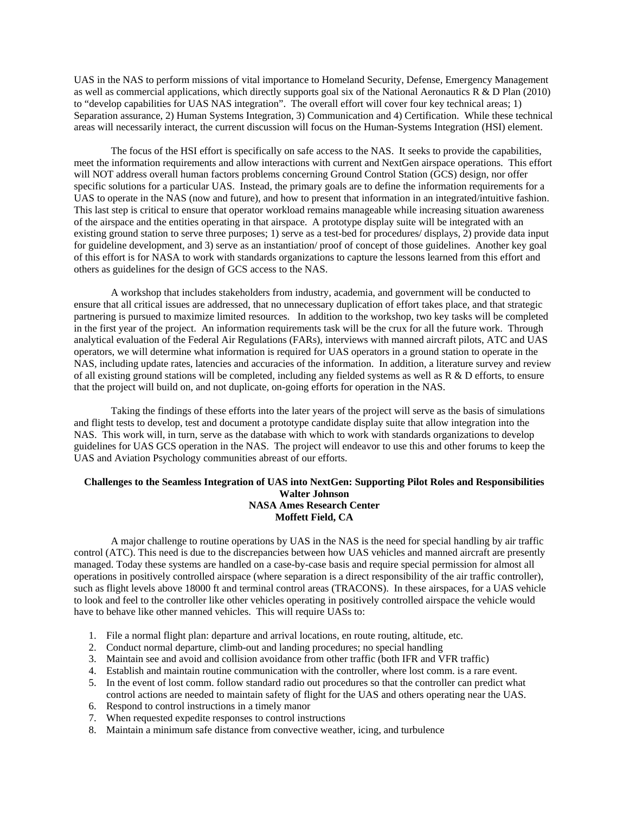UAS in the NAS to perform missions of vital importance to Homeland Security, Defense, Emergency Management as well as commercial applications, which directly supports goal six of the National Aeronautics R & D Plan (2010) to "develop capabilities for UAS NAS integration". The overall effort will cover four key technical areas; 1) Separation assurance, 2) Human Systems Integration, 3) Communication and 4) Certification. While these technical areas will necessarily interact, the current discussion will focus on the Human-Systems Integration (HSI) element.

 The focus of the HSI effort is specifically on safe access to the NAS. It seeks to provide the capabilities, meet the information requirements and allow interactions with current and NextGen airspace operations. This effort will NOT address overall human factors problems concerning Ground Control Station (GCS) design, nor offer specific solutions for a particular UAS. Instead, the primary goals are to define the information requirements for a UAS to operate in the NAS (now and future), and how to present that information in an integrated/intuitive fashion. This last step is critical to ensure that operator workload remains manageable while increasing situation awareness of the airspace and the entities operating in that airspace. A prototype display suite will be integrated with an existing ground station to serve three purposes; 1) serve as a test-bed for procedures/ displays, 2) provide data input for guideline development, and 3) serve as an instantiation/ proof of concept of those guidelines. Another key goal of this effort is for NASA to work with standards organizations to capture the lessons learned from this effort and others as guidelines for the design of GCS access to the NAS.

 A workshop that includes stakeholders from industry, academia, and government will be conducted to ensure that all critical issues are addressed, that no unnecessary duplication of effort takes place, and that strategic partnering is pursued to maximize limited resources. In addition to the workshop, two key tasks will be completed in the first year of the project. An information requirements task will be the crux for all the future work. Through analytical evaluation of the Federal Air Regulations (FARs), interviews with manned aircraft pilots, ATC and UAS operators, we will determine what information is required for UAS operators in a ground station to operate in the NAS, including update rates, latencies and accuracies of the information. In addition, a literature survey and review of all existing ground stations will be completed, including any fielded systems as well as  $R \& D$  efforts, to ensure that the project will build on, and not duplicate, on-going efforts for operation in the NAS.

 Taking the findings of these efforts into the later years of the project will serve as the basis of simulations and flight tests to develop, test and document a prototype candidate display suite that allow integration into the NAS. This work will, in turn, serve as the database with which to work with standards organizations to develop guidelines for UAS GCS operation in the NAS. The project will endeavor to use this and other forums to keep the UAS and Aviation Psychology communities abreast of our efforts.

#### **Challenges to the Seamless Integration of UAS into NextGen: Supporting Pilot Roles and Responsibilities Walter Johnson NASA Ames Research Center Moffett Field, CA**

A major challenge to routine operations by UAS in the NAS is the need for special handling by air traffic control (ATC). This need is due to the discrepancies between how UAS vehicles and manned aircraft are presently managed. Today these systems are handled on a case-by-case basis and require special permission for almost all operations in positively controlled airspace (where separation is a direct responsibility of the air traffic controller), such as flight levels above 18000 ft and terminal control areas (TRACONS). In these airspaces, for a UAS vehicle to look and feel to the controller like other vehicles operating in positively controlled airspace the vehicle would have to behave like other manned vehicles. This will require UASs to:

- 1. File a normal flight plan: departure and arrival locations, en route routing, altitude, etc.
- 2. Conduct normal departure, climb-out and landing procedures; no special handling
- 3. Maintain see and avoid and collision avoidance from other traffic (both IFR and VFR traffic)
- 4. Establish and maintain routine communication with the controller, where lost comm. is a rare event.
- 5. In the event of lost comm. follow standard radio out procedures so that the controller can predict what control actions are needed to maintain safety of flight for the UAS and others operating near the UAS.
- 6. Respond to control instructions in a timely manor
- 7. When requested expedite responses to control instructions
- 8. Maintain a minimum safe distance from convective weather, icing, and turbulence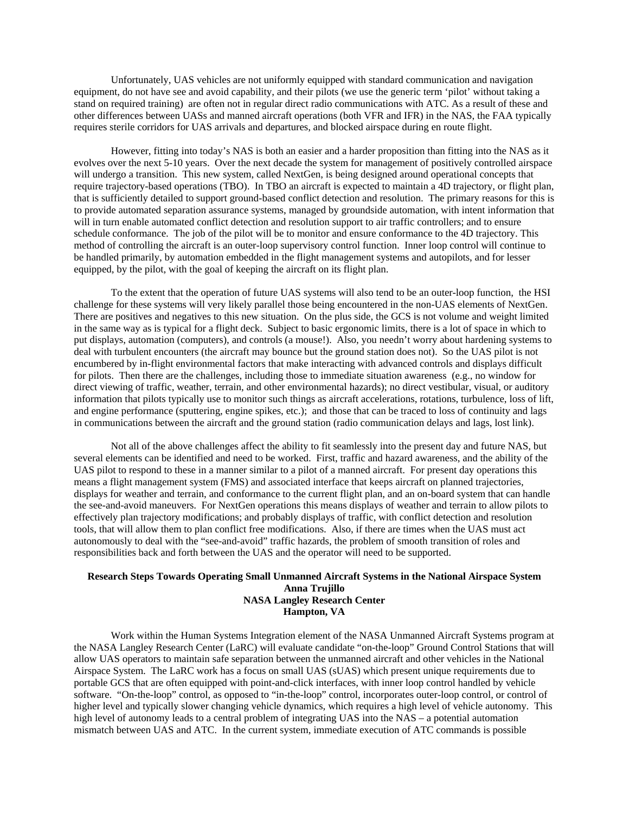Unfortunately, UAS vehicles are not uniformly equipped with standard communication and navigation equipment, do not have see and avoid capability, and their pilots (we use the generic term 'pilot' without taking a stand on required training) are often not in regular direct radio communications with ATC. As a result of these and other differences between UASs and manned aircraft operations (both VFR and IFR) in the NAS, the FAA typically requires sterile corridors for UAS arrivals and departures, and blocked airspace during en route flight.

However, fitting into today's NAS is both an easier and a harder proposition than fitting into the NAS as it evolves over the next 5-10 years. Over the next decade the system for management of positively controlled airspace will undergo a transition. This new system, called NextGen, is being designed around operational concepts that require trajectory-based operations (TBO). In TBO an aircraft is expected to maintain a 4D trajectory, or flight plan, that is sufficiently detailed to support ground-based conflict detection and resolution. The primary reasons for this is to provide automated separation assurance systems, managed by groundside automation, with intent information that will in turn enable automated conflict detection and resolution support to air traffic controllers; and to ensure schedule conformance. The job of the pilot will be to monitor and ensure conformance to the 4D trajectory. This method of controlling the aircraft is an outer-loop supervisory control function. Inner loop control will continue to be handled primarily, by automation embedded in the flight management systems and autopilots, and for lesser equipped, by the pilot, with the goal of keeping the aircraft on its flight plan.

To the extent that the operation of future UAS systems will also tend to be an outer-loop function, the HSI challenge for these systems will very likely parallel those being encountered in the non-UAS elements of NextGen. There are positives and negatives to this new situation. On the plus side, the GCS is not volume and weight limited in the same way as is typical for a flight deck. Subject to basic ergonomic limits, there is a lot of space in which to put displays, automation (computers), and controls (a mouse!). Also, you needn't worry about hardening systems to deal with turbulent encounters (the aircraft may bounce but the ground station does not). So the UAS pilot is not encumbered by in-flight environmental factors that make interacting with advanced controls and displays difficult for pilots. Then there are the challenges, including those to immediate situation awareness (e.g., no window for direct viewing of traffic, weather, terrain, and other environmental hazards); no direct vestibular, visual, or auditory information that pilots typically use to monitor such things as aircraft accelerations, rotations, turbulence, loss of lift, and engine performance (sputtering, engine spikes, etc.); and those that can be traced to loss of continuity and lags in communications between the aircraft and the ground station (radio communication delays and lags, lost link).

Not all of the above challenges affect the ability to fit seamlessly into the present day and future NAS, but several elements can be identified and need to be worked. First, traffic and hazard awareness, and the ability of the UAS pilot to respond to these in a manner similar to a pilot of a manned aircraft. For present day operations this means a flight management system (FMS) and associated interface that keeps aircraft on planned trajectories, displays for weather and terrain, and conformance to the current flight plan, and an on-board system that can handle the see-and-avoid maneuvers. For NextGen operations this means displays of weather and terrain to allow pilots to effectively plan trajectory modifications; and probably displays of traffic, with conflict detection and resolution tools, that will allow them to plan conflict free modifications. Also, if there are times when the UAS must act autonomously to deal with the "see-and-avoid" traffic hazards, the problem of smooth transition of roles and responsibilities back and forth between the UAS and the operator will need to be supported.

#### **Research Steps Towards Operating Small Unmanned Aircraft Systems in the National Airspace System Anna Trujillo NASA Langley Research Center Hampton, VA**

Work within the Human Systems Integration element of the NASA Unmanned Aircraft Systems program at the NASA Langley Research Center (LaRC) will evaluate candidate "on-the-loop" Ground Control Stations that will allow UAS operators to maintain safe separation between the unmanned aircraft and other vehicles in the National Airspace System. The LaRC work has a focus on small UAS (sUAS) which present unique requirements due to portable GCS that are often equipped with point-and-click interfaces, with inner loop control handled by vehicle software. "On-the-loop" control, as opposed to "in-the-loop" control, incorporates outer-loop control, or control of higher level and typically slower changing vehicle dynamics, which requires a high level of vehicle autonomy. This high level of autonomy leads to a central problem of integrating UAS into the NAS – a potential automation mismatch between UAS and ATC. In the current system, immediate execution of ATC commands is possible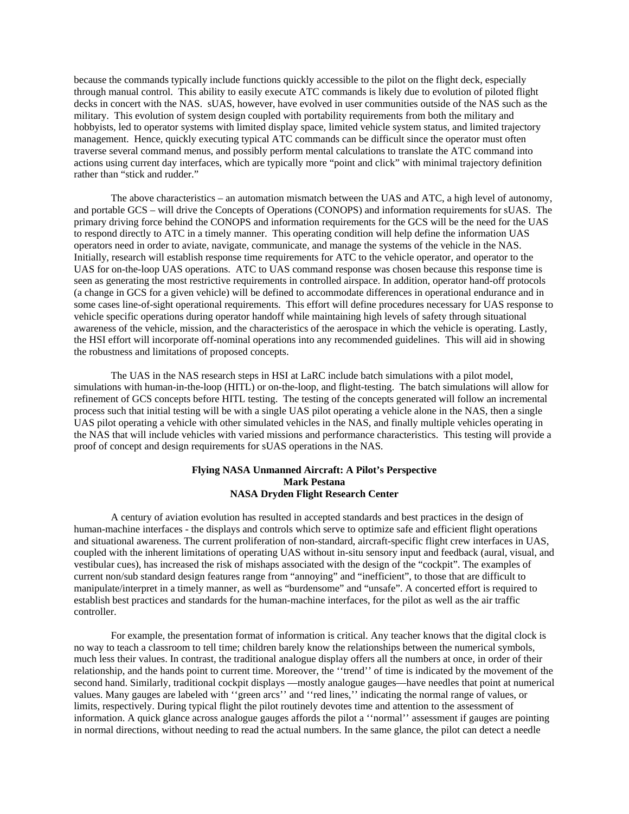because the commands typically include functions quickly accessible to the pilot on the flight deck, especially through manual control. This ability to easily execute ATC commands is likely due to evolution of piloted flight decks in concert with the NAS. sUAS, however, have evolved in user communities outside of the NAS such as the military. This evolution of system design coupled with portability requirements from both the military and hobbyists, led to operator systems with limited display space, limited vehicle system status, and limited trajectory management. Hence, quickly executing typical ATC commands can be difficult since the operator must often traverse several command menus, and possibly perform mental calculations to translate the ATC command into actions using current day interfaces, which are typically more "point and click" with minimal trajectory definition rather than "stick and rudder."

The above characteristics – an automation mismatch between the UAS and ATC, a high level of autonomy, and portable GCS – will drive the Concepts of Operations (CONOPS) and information requirements for sUAS. The primary driving force behind the CONOPS and information requirements for the GCS will be the need for the UAS to respond directly to ATC in a timely manner. This operating condition will help define the information UAS operators need in order to aviate, navigate, communicate, and manage the systems of the vehicle in the NAS. Initially, research will establish response time requirements for ATC to the vehicle operator, and operator to the UAS for on-the-loop UAS operations. ATC to UAS command response was chosen because this response time is seen as generating the most restrictive requirements in controlled airspace. In addition, operator hand-off protocols (a change in GCS for a given vehicle) will be defined to accommodate differences in operational endurance and in some cases line-of-sight operational requirements. This effort will define procedures necessary for UAS response to vehicle specific operations during operator handoff while maintaining high levels of safety through situational awareness of the vehicle, mission, and the characteristics of the aerospace in which the vehicle is operating. Lastly, the HSI effort will incorporate off-nominal operations into any recommended guidelines. This will aid in showing the robustness and limitations of proposed concepts.

The UAS in the NAS research steps in HSI at LaRC include batch simulations with a pilot model, simulations with human-in-the-loop (HITL) or on-the-loop, and flight-testing. The batch simulations will allow for refinement of GCS concepts before HITL testing. The testing of the concepts generated will follow an incremental process such that initial testing will be with a single UAS pilot operating a vehicle alone in the NAS, then a single UAS pilot operating a vehicle with other simulated vehicles in the NAS, and finally multiple vehicles operating in the NAS that will include vehicles with varied missions and performance characteristics. This testing will provide a proof of concept and design requirements for sUAS operations in the NAS.

### **Flying NASA Unmanned Aircraft: A Pilot's Perspective Mark Pestana NASA Dryden Flight Research Center**

A century of aviation evolution has resulted in accepted standards and best practices in the design of human-machine interfaces - the displays and controls which serve to optimize safe and efficient flight operations and situational awareness. The current proliferation of non-standard, aircraft-specific flight crew interfaces in UAS, coupled with the inherent limitations of operating UAS without in-situ sensory input and feedback (aural, visual, and vestibular cues), has increased the risk of mishaps associated with the design of the "cockpit". The examples of current non/sub standard design features range from "annoying" and "inefficient", to those that are difficult to manipulate/interpret in a timely manner, as well as "burdensome" and "unsafe". A concerted effort is required to establish best practices and standards for the human-machine interfaces, for the pilot as well as the air traffic controller.

For example, the presentation format of information is critical. Any teacher knows that the digital clock is no way to teach a classroom to tell time; children barely know the relationships between the numerical symbols, much less their values. In contrast, the traditional analogue display offers all the numbers at once, in order of their relationship, and the hands point to current time. Moreover, the ''trend'' of time is indicated by the movement of the second hand. Similarly, traditional cockpit displays —mostly analogue gauges—have needles that point at numerical values. Many gauges are labeled with ''green arcs'' and ''red lines,'' indicating the normal range of values, or limits, respectively. During typical flight the pilot routinely devotes time and attention to the assessment of information. A quick glance across analogue gauges affords the pilot a ''normal'' assessment if gauges are pointing in normal directions, without needing to read the actual numbers. In the same glance, the pilot can detect a needle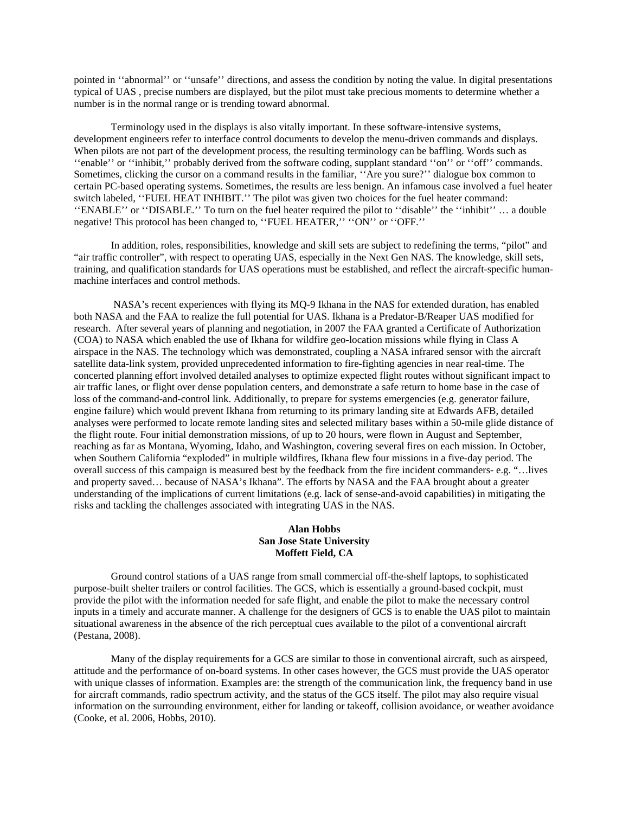pointed in ''abnormal'' or ''unsafe'' directions, and assess the condition by noting the value. In digital presentations typical of UAS , precise numbers are displayed, but the pilot must take precious moments to determine whether a number is in the normal range or is trending toward abnormal.

Terminology used in the displays is also vitally important. In these software-intensive systems, development engineers refer to interface control documents to develop the menu-driven commands and displays. When pilots are not part of the development process, the resulting terminology can be baffling. Words such as ''enable'' or ''inhibit,'' probably derived from the software coding, supplant standard ''on'' or ''off'' commands. Sometimes, clicking the cursor on a command results in the familiar, ''Are you sure?'' dialogue box common to certain PC-based operating systems. Sometimes, the results are less benign. An infamous case involved a fuel heater switch labeled, ''FUEL HEAT INHIBIT.'' The pilot was given two choices for the fuel heater command: ''ENABLE'' or ''DISABLE.'' To turn on the fuel heater required the pilot to ''disable'' the ''inhibit'' … a double negative! This protocol has been changed to, ''FUEL HEATER,'' ''ON'' or ''OFF.''

In addition, roles, responsibilities, knowledge and skill sets are subject to redefining the terms, "pilot" and "air traffic controller", with respect to operating UAS, especially in the Next Gen NAS. The knowledge, skill sets, training, and qualification standards for UAS operations must be established, and reflect the aircraft-specific humanmachine interfaces and control methods.

 NASA's recent experiences with flying its MQ-9 Ikhana in the NAS for extended duration, has enabled both NASA and the FAA to realize the full potential for UAS. Ikhana is a Predator-B/Reaper UAS modified for research. After several years of planning and negotiation, in 2007 the FAA granted a Certificate of Authorization (COA) to NASA which enabled the use of Ikhana for wildfire geo-location missions while flying in Class A airspace in the NAS. The technology which was demonstrated, coupling a NASA infrared sensor with the aircraft satellite data-link system, provided unprecedented information to fire-fighting agencies in near real-time. The concerted planning effort involved detailed analyses to optimize expected flight routes without significant impact to air traffic lanes, or flight over dense population centers, and demonstrate a safe return to home base in the case of loss of the command-and-control link. Additionally, to prepare for systems emergencies (e.g. generator failure, engine failure) which would prevent Ikhana from returning to its primary landing site at Edwards AFB, detailed analyses were performed to locate remote landing sites and selected military bases within a 50-mile glide distance of the flight route. Four initial demonstration missions, of up to 20 hours, were flown in August and September, reaching as far as Montana, Wyoming, Idaho, and Washington, covering several fires on each mission. In October, when Southern California "exploded" in multiple wildfires, Ikhana flew four missions in a five-day period. The overall success of this campaign is measured best by the feedback from the fire incident commanders- e.g. "…lives and property saved… because of NASA's Ikhana". The efforts by NASA and the FAA brought about a greater understanding of the implications of current limitations (e.g. lack of sense-and-avoid capabilities) in mitigating the risks and tackling the challenges associated with integrating UAS in the NAS.

#### **Alan Hobbs San Jose State University Moffett Field, CA**

Ground control stations of a UAS range from small commercial off-the-shelf laptops, to sophisticated purpose-built shelter trailers or control facilities. The GCS, which is essentially a ground-based cockpit, must provide the pilot with the information needed for safe flight, and enable the pilot to make the necessary control inputs in a timely and accurate manner. A challenge for the designers of GCS is to enable the UAS pilot to maintain situational awareness in the absence of the rich perceptual cues available to the pilot of a conventional aircraft (Pestana, 2008).

Many of the display requirements for a GCS are similar to those in conventional aircraft, such as airspeed, attitude and the performance of on-board systems. In other cases however, the GCS must provide the UAS operator with unique classes of information. Examples are: the strength of the communication link, the frequency band in use for aircraft commands, radio spectrum activity, and the status of the GCS itself. The pilot may also require visual information on the surrounding environment, either for landing or takeoff, collision avoidance, or weather avoidance (Cooke, et al. 2006, Hobbs, 2010).